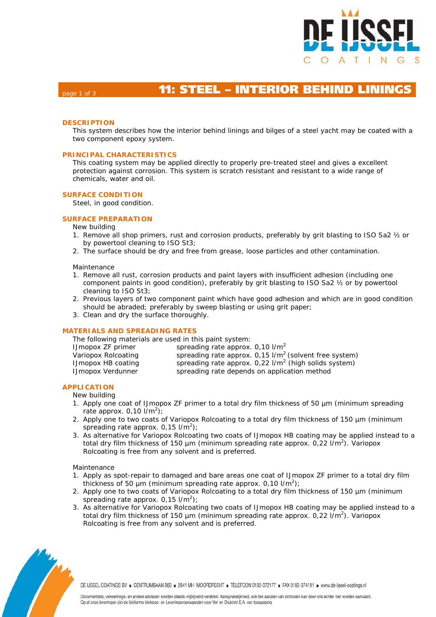

# page 1 of 3 **11: STEEL – INTERIOR BEHIND LINING**

### **DESCRIPTION**

This system describes how the interior behind linings and bilges of a steel yacht may be coated with a two component epoxy system.

#### **PRINCIPAL CHARACTERISTICS**

This coating system may be applied directly to properly pre-treated steel and gives a excellent protection against corrosion. This system is scratch resistant and resistant to a wide range of chemicals, water and oil.

#### **SURFACE CONDITION**

Steel, in good condition.

#### **SURFACE PREPARATION**

#### New building

- 1. Remove all shop primers, rust and corrosion products, preferably by grit blasting to ISO Sa2 ½ or by powertool cleaning to ISO St3;
- 2. The surface should be dry and free from grease, loose particles and other contamination.

#### Maintenance

- 1. Remove all rust, corrosion products and paint layers with insufficient adhesion (including one component paints in good condition), preferably by grit blasting to ISO Sa2 ½ or by powertool cleaning to ISO St3;
- 2. Previous layers of two component paint which have good adhesion and which are in good condition should be abraded; preferably by sweep blasting or using grit paper;
- 3. Clean and dry the surface thoroughly.

#### **MATERIALS AND SPREADING RATES**

| The following materials are used in this paint system: |                                                                      |  |  |  |  |  |  |
|--------------------------------------------------------|----------------------------------------------------------------------|--|--|--|--|--|--|
| <b>IJmopox ZF primer</b>                               | spreading rate approx. $0.10$ $1/m^2$                                |  |  |  |  |  |  |
| Variopox Rolcoating                                    | spreading rate approx. $0.15$ I/m <sup>2</sup> (solvent free system) |  |  |  |  |  |  |
| <b>IJmopox HB coating</b>                              | spreading rate approx. $0.22$ I/m <sup>2</sup> (high solids system)  |  |  |  |  |  |  |
| <b>IJmopox Verdunner</b>                               | spreading rate depends on application method                         |  |  |  |  |  |  |

#### **APPLICATION**

- New building
- 1. Apply one coat of IJmopox ZF primer to a total dry film thickness of 50 µm (minimum spreading rate approx.  $0,10$  l/m<sup>2</sup>);
- 2. Apply one to two coats of Variopox Rolcoating to a total dry film thickness of 150 µm (minimum spreading rate approx.  $0.15$  l/m<sup>2</sup>);
- 3. As alternative for Variopox Rolcoating two coats of IJmopox HB coating may be applied instead to a total dry film thickness of 150 µm (minimum spreading rate approx.  $0.22$  I/m<sup>2</sup>). Variopox Rolcoating is free from any solvent and is preferred.

#### Maintenance

- 1. Apply as spot-repair to damaged and bare areas one coat of IJmopox ZF primer to a total dry film thickness of 50  $\mu$ m (minimum spreading rate approx. 0,10  $1/m^2$ );
- 2. Apply one to two coats of Variopox Rolcoating to a total dry film thickness of 150 µm (minimum spreading rate approx.  $0.15$  l/m<sup>2</sup>);
- 3. As alternative for Variopox Rolcoating two coats of IJmopox HB coating may be applied instead to a total dry film thickness of 150  $\mu$ m (minimum spreading rate approx. 0,22 l/m<sup>2</sup>). Variopox Rolcoating is free from any solvent and is preferred.



DE IJSSEL COATINGS BV E CENTRUMBAAN 960 E 2841 MH MOORDRECHT E TELEFOON 0182-372177 E FAX 0182-374191 E www.de-ijssel-coatings.nl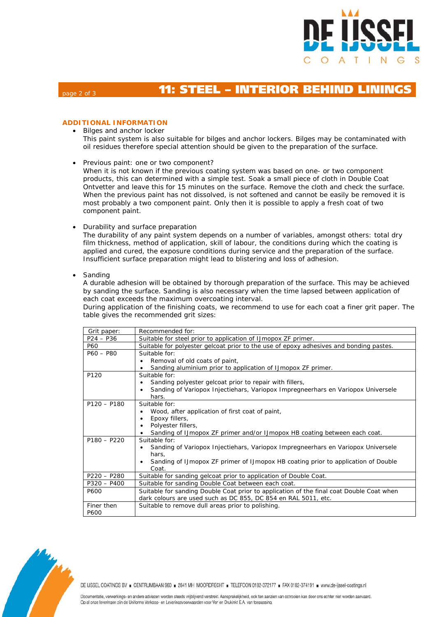

# page 2 of 3 **11: STEEL – INTERIOR BEHIND LINING**

## **ADDITIONAL INFORMATION**

- Bilges and anchor locker This paint system is also suitable for bilges and anchor lockers. Bilges may be contaminated with oil residues therefore special attention should be given to the preparation of the surface.
- Previous paint: one or two component?
- When it is not known if the previous coating system was based on one- or two component products, this can determined with a simple test. Soak a small piece of cloth in Double Coat Ontvetter and leave this for 15 minutes on the surface. Remove the cloth and check the surface. When the previous paint has not dissolved, is not softened and cannot be easily be removed it is most probably a two component paint. Only then it is possible to apply a fresh coat of two component paint.
- Durability and surface preparation

The durability of any paint system depends on a number of variables, amongst others: total dry film thickness, method of application, skill of labour, the conditions during which the coating is applied and cured, the exposure conditions during service and the preparation of the surface. Insufficient surface preparation might lead to blistering and loss of adhesion.

**Sanding** 

A durable adhesion will be obtained by thorough preparation of the surface. This may be achieved by sanding the surface. Sanding is also necessary when the time lapsed between application of each coat exceeds the maximum overcoating interval.

During application of the finishing coats, we recommend to use for each coat a finer grit paper. The table gives the recommended grit sizes:

| Grit paper:   | Recommended for:                                                                           |  |  |  |  |  |
|---------------|--------------------------------------------------------------------------------------------|--|--|--|--|--|
| $P24 - P36$   | Suitable for steel prior to application of IJmopox ZF primer.                              |  |  |  |  |  |
| P60           | Suitable for polyester gelcoat prior to the use of epoxy adhesives and bonding pastes.     |  |  |  |  |  |
| $P60 - P80$   | Suitable for:                                                                              |  |  |  |  |  |
|               | Removal of old coats of paint,                                                             |  |  |  |  |  |
|               | Sanding aluminium prior to application of IJmopox ZF primer.                               |  |  |  |  |  |
| P120          | Suitable for:                                                                              |  |  |  |  |  |
|               | Sanding polyester gelcoat prior to repair with fillers,                                    |  |  |  |  |  |
|               | Sanding of Variopox Injectiehars, Variopox Impregneerhars en Variopox Universele<br>hars.  |  |  |  |  |  |
| $P120 - P180$ | Suitable for:                                                                              |  |  |  |  |  |
|               | Wood, after application of first coat of paint,                                            |  |  |  |  |  |
|               | Epoxy fillers,                                                                             |  |  |  |  |  |
|               | Polyester fillers,                                                                         |  |  |  |  |  |
|               | Sanding of IJmopox ZF primer and/or IJmopox HB coating between each coat.                  |  |  |  |  |  |
| $P180 - P220$ | Suitable for:                                                                              |  |  |  |  |  |
|               | Sanding of Variopox Injectiehars, Variopox Impregneerhars en Variopox Universele           |  |  |  |  |  |
|               | hars.                                                                                      |  |  |  |  |  |
|               | Sanding of IJmopox ZF primer of IJmopox HB coating prior to application of Double<br>Coat. |  |  |  |  |  |
| $P220 - P280$ | Suitable for sanding gelcoat prior to application of Double Coat.                          |  |  |  |  |  |
| $P320 - P400$ | Suitable for sanding Double Coat between each coat.                                        |  |  |  |  |  |
| P600          | Suitable for sanding Double Coat prior to application of the final coat Double Coat when   |  |  |  |  |  |
|               | dark colours are used such as DC 855, DC 854 en RAL 5011, etc.                             |  |  |  |  |  |
| Finer then    | Suitable to remove dull areas prior to polishing.                                          |  |  |  |  |  |
| P600          |                                                                                            |  |  |  |  |  |



DE IJSSEL COATINGS BV = CENTRUMBAAN 960 = 2841 MH MOORDRECHT = TELEFOON 0182-372177 = FAX 0182-374191 = www.de-ijssel-coatings.nl